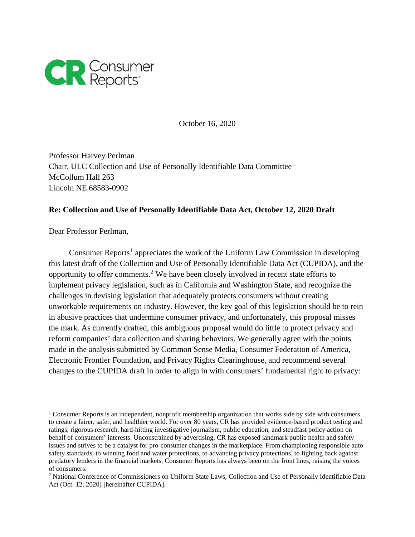

October 16, 2020

Professor Harvey Perlman Chair, ULC Collection and Use of Personally Identifiable Data Committee McCollum Hall 263 Lincoln NE 68583-0902

## **Re: Collection and Use of Personally Identifiable Data Act, October 12, 2020 Draft**

Dear Professor Perlman,

Consumer Reports<sup>[1](#page-0-0)</sup> appreciates the work of the Uniform Law Commission in developing this latest draft of the Collection and Use of Personally Identifiable Data Act (CUPIDA), and the opportunity to offer comments.[2](#page-0-1) We have been closely involved in recent state efforts to implement privacy legislation, such as in California and Washington State, and recognize the challenges in devising legislation that adequately protects consumers without creating unworkable requirements on industry. However, the key goal of this legislation should be to rein in abusive practices that undermine consumer privacy, and unfortunately, this proposal misses the mark. As currently drafted, this ambiguous proposal would do little to protect privacy and reform companies' data collection and sharing behaviors. We generally agree with the points made in the analysis submitted by Common Sense Media, Consumer Federation of America, Electronic Frontier Foundation, and Privacy Rights Clearinghouse, and recommend several changes to the CUPIDA draft in order to align in with consumers' fundamental right to privacy:

<span id="page-0-0"></span> $\overline{a}$ <sup>1</sup> Consumer Reports is an independent, nonprofit membership organization that works side by side with consumers to create a fairer, safer, and healthier world. For over 80 years, CR has provided evidence-based product testing and ratings, rigorous research, hard-hitting investigative journalism, public education, and steadfast policy action on behalf of consumers' interests. Unconstrained by advertising, CR has exposed landmark public health and safety issues and strives to be a catalyst for pro-consumer changes in the marketplace. From championing responsible auto safety standards, to winning food and water protections, to advancing privacy protections, to fighting back against predatory lenders in the financial markets, Consumer Reports has always been on the front lines, raising the voices of consumers.

<span id="page-0-1"></span><sup>2</sup> National Conference of Commissioners on Uniform State Laws, Collection and Use of Personally Identifiable Data Act (Oct. 12, 2020) [hereinafter CUPIDA].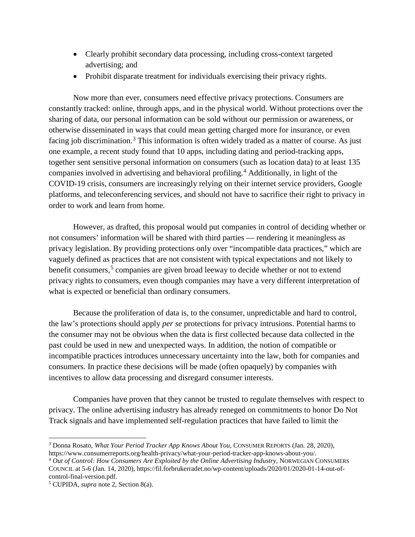- Clearly prohibit secondary data processing, including cross-context targeted advertising; and
- Prohibit disparate treatment for individuals exercising their privacy rights.

Now more than ever, consumers need effective privacy protections. Consumers are constantly tracked: online, through apps, and in the physical world. Without protections over the sharing of data, our personal information can be sold without our permission or awareness, or otherwise disseminated in ways that could mean getting charged more for insurance, or even facing job discrimination.<sup>[3](#page-1-0)</sup> This information is often widely traded as a matter of course. As just one example, a recent study found that 10 apps, including dating and period-tracking apps, together sent sensitive personal information on consumers (such as location data) to at least 135 companies involved in advertising and behavioral profiling.[4](#page-1-1) Additionally, in light of the COVID-19 crisis, consumers are increasingly relying on their internet service providers, Google platforms, and teleconferencing services, and should not have to sacrifice their right to privacy in order to work and learn from home.

However, as drafted, this proposal would put companies in control of deciding whether or not consumers' information will be shared with third parties — rendering it meaningless as privacy legislation. By providing protections only over "incompatible data practices," which are vaguely defined as practices that are not consistent with typical expectations and not likely to benefit consumers,<sup>[5](#page-1-2)</sup> companies are given broad leeway to decide whether or not to extend privacy rights to consumers, even though companies may have a very different interpretation of what is expected or beneficial than ordinary consumers.

Because the proliferation of data is, to the consumer, unpredictable and hard to control, the law's protections should apply *per se* protections for privacy intrusions. Potential harms to the consumer may not be obvious when the data is first collected because data collected in the past could be used in new and unexpected ways. In addition, the notion of compatible or incompatible practices introduces unnecessary uncertainty into the law, both for companies and consumers. In practice these decisions will be made (often opaquely) by companies with incentives to allow data processing and disregard consumer interests.

Companies have proven that they cannot be trusted to regulate themselves with respect to privacy. The online advertising industry has already reneged on commitments to honor Do Not Track signals and have implemented self-regulation practices that have failed to limit the

<span id="page-1-0"></span> $\overline{a}$ <sup>3</sup> Donna Rosato, *What Your Period Tracker App Knows About You*, CONSUMER REPORTS (Jan. 28, 2020), https://www.consumerreports.org/health-privacy/what-your-period-tracker-app-knows-about-you/.

<span id="page-1-1"></span><sup>4</sup> *Out of Control: How Consumers Are Exploited by the Online Advertising Industry*, NORWEGIAN CONSUMERS COUNCIL at 5-6 (Jan. 14, 2020), https://fil.forbrukerradet.no/wp-content/uploads/2020/01/2020-01-14-out-ofcontrol-final-version.pdf.

<span id="page-1-2"></span><sup>5</sup> CUPIDA, *supra* note 2, Section 8(a).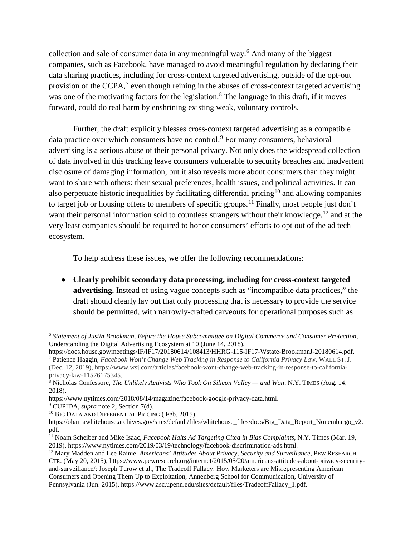collection and sale of consumer data in any meaningful way.[6](#page-2-0) And many of the biggest companies, such as Facebook, have managed to avoid meaningful regulation by declaring their data sharing practices, including for cross-context targeted advertising, outside of the opt-out provision of the CCPA, $<sup>7</sup>$  $<sup>7</sup>$  $<sup>7</sup>$  even though reining in the abuses of cross-context targeted advertising</sup> was one of the motivating factors for the legislation.<sup>[8](#page-2-2)</sup> The language in this draft, if it moves forward, could do real harm by enshrining existing weak, voluntary controls.

Further, the draft explicitly blesses cross-context targeted advertising as a compatible data practice over which consumers have no control.<sup>[9](#page-2-3)</sup> For many consumers, behavioral advertising is a serious abuse of their personal privacy. Not only does the widespread collection of data involved in this tracking leave consumers vulnerable to security breaches and inadvertent disclosure of damaging information, but it also reveals more about consumers than they might want to share with others: their sexual preferences, health issues, and political activities. It can also perpetuate historic inequalities by facilitating differential pricing<sup>[10](#page-2-4)</sup> and allowing companies to target job or housing offers to members of specific groups.<sup>[11](#page-2-5)</sup> Finally, most people just don't want their personal information sold to countless strangers without their knowledge,  $12$  and at the very least companies should be required to honor consumers' efforts to opt out of the ad tech ecosystem.

To help address these issues, we offer the following recommendations:

● **Clearly prohibit secondary data processing, including for cross-context targeted advertising.** Instead of using vague concepts such as "incompatible data practices," the draft should clearly lay out that only processing that is necessary to provide the service should be permitted, with narrowly-crafted carveouts for operational purposes such as

 $\ddot{\phantom{a}}$ 

<span id="page-2-0"></span><sup>6</sup> *Statement of Justin Brookman, Before the House Subcommittee on Digital Commerce and Consumer Protection,* Understanding the Digital Advertising Ecosystem at 10 (June 14, 2018),

<span id="page-2-1"></span>https://docs.house.gov/meetings/IF/IF17/20180614/108413/HHRG-115-IF17-Wstate-BrookmanJ-20180614.pdf. <sup>7</sup> Patience Haggin, *Facebook Won't Change Web Tracking in Response to California Privacy Law*, WALL ST. J. (Dec. 12, 2019), https://www.wsj.com/articles/facebook-wont-change-web-tracking-in-response-to-californiaprivacy-law-11576175345.

<span id="page-2-2"></span><sup>8</sup> Nicholas Confessore, *The Unlikely Activists Who Took On Silicon Valley — and Won,* N.Y. TIMES (Aug. 14, 2018),

https://www.nytimes.com/2018/08/14/magazine/facebook-google-privacy-data.html.

<span id="page-2-3"></span><sup>9</sup> CUPIDA, *supra* note 2, Section 7(d).

<span id="page-2-4"></span><sup>&</sup>lt;sup>10</sup> BIG DATA AND DIFFERENTIAL PRICING (Feb. 2015),

https://obamawhitehouse.archives.gov/sites/default/files/whitehouse\_files/docs/Big\_Data\_Report\_Nonembargo\_v2. pdf.

<span id="page-2-5"></span><sup>11</sup> Noam Scheiber and Mike Isaac, *Facebook Halts Ad Targeting Cited in Bias Complaints*, N.Y. Times (Mar. 19, 2019), https://www.nytimes.com/2019/03/19/technology/facebook-discrimination-ads.html.

<span id="page-2-6"></span><sup>12</sup> Mary Madden and Lee Rainie, *Americans' Attitudes About Privacy, Security and Surveillance*, PEW RESEARCH CTR. (May 20, 2015), https://www.pewresearch.org/internet/2015/05/20/americans-attitudes-about-privacy-securityand-surveillance/; Joseph Turow et al., The Tradeoff Fallacy: How Marketers are Misrepresenting American Consumers and Opening Them Up to Exploitation, Annenberg School for Communication, University of Pennsylvania (Jun. 2015), https://www.asc.upenn.edu/sites/default/files/TradeoffFallacy 1.pdf.